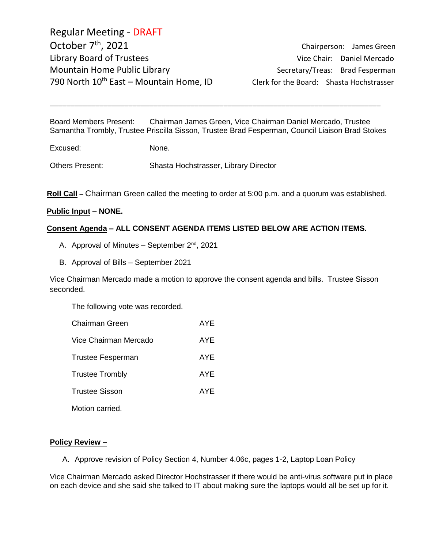Regular Meeting - DRAFT October 7<sup>th</sup>, 2021 Library Board of Trustees and Communications of Chair: Daniel Mercado Mountain Home Public Library Network Secretary/Treas: Brad Fesperman 790 North  $10^{th}$  East – Mountain Home, ID Clerk for the Board: Shasta Hochstrasser

Chairperson: James Green

Board Members Present: Chairman James Green, Vice Chairman Daniel Mercado, Trustee Samantha Trombly, Trustee Priscilla Sisson, Trustee Brad Fesperman, Council Liaison Brad Stokes

\_\_\_\_\_\_\_\_\_\_\_\_\_\_\_\_\_\_\_\_\_\_\_\_\_\_\_\_\_\_\_\_\_\_\_\_\_\_\_\_\_\_\_\_\_\_\_\_\_\_\_\_\_\_\_\_\_\_\_\_\_\_\_\_\_\_\_\_\_\_\_\_\_\_\_\_\_\_\_\_

Excused: None.

Others Present: Shasta Hochstrasser, Library Director

**Roll Call** – Chairman Green called the meeting to order at 5:00 p.m. and a quorum was established.

#### **Public Input – NONE.**

#### **Consent Agenda – ALL CONSENT AGENDA ITEMS LISTED BELOW ARE ACTION ITEMS.**

- A. Approval of Minutes  $-$  September  $2<sup>nd</sup>$ , 2021
- B. Approval of Bills September 2021

Vice Chairman Mercado made a motion to approve the consent agenda and bills. Trustee Sisson seconded.

The following vote was recorded.

| Chairman Green         | AYE |
|------------------------|-----|
| Vice Chairman Mercado  | AYE |
| Trustee Fesperman      | AYE |
| <b>Trustee Trombly</b> | AYE |
| Trustee Sisson         | AYE |
| Motion carried.        |     |

#### **Policy Review –**

A. Approve revision of Policy Section 4, Number 4.06c, pages 1-2, Laptop Loan Policy

Vice Chairman Mercado asked Director Hochstrasser if there would be anti-virus software put in place on each device and she said she talked to IT about making sure the laptops would all be set up for it.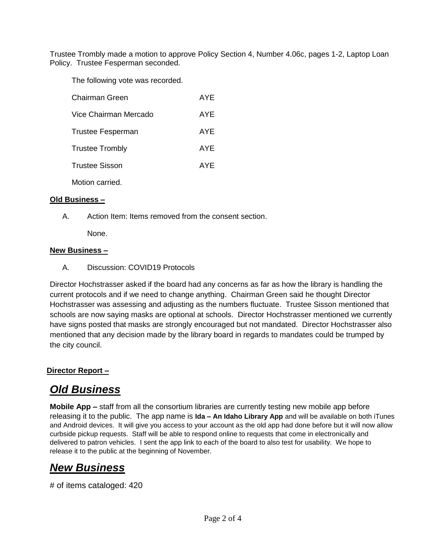Trustee Trombly made a motion to approve Policy Section 4, Number 4.06c, pages 1-2, Laptop Loan Policy. Trustee Fesperman seconded.

The following vote was recorded.

| Chairman Green           | AYE |
|--------------------------|-----|
| Vice Chairman Mercado    | AYE |
| <b>Trustee Fesperman</b> | AYE |
| <b>Trustee Trombly</b>   | AYE |
| <b>Trustee Sisson</b>    | AYE |
| Motion carried.          |     |

#### **Old Business –**

A. Action Item: Items removed from the consent section.

None.

#### **New Business –**

A. Discussion: COVID19 Protocols

Director Hochstrasser asked if the board had any concerns as far as how the library is handling the current protocols and if we need to change anything. Chairman Green said he thought Director Hochstrasser was assessing and adjusting as the numbers fluctuate. Trustee Sisson mentioned that schools are now saying masks are optional at schools. Director Hochstrasser mentioned we currently have signs posted that masks are strongly encouraged but not mandated. Director Hochstrasser also mentioned that any decision made by the library board in regards to mandates could be trumped by the city council.

## **Director Report –**

# *Old Business*

**Mobile App –** staff from all the consortium libraries are currently testing new mobile app before releasing it to the public. The app name is **Ida – An Idaho Library App** and will be available on both iTunes and Android devices. It will give you access to your account as the old app had done before but it will now allow curbside pickup requests. Staff will be able to respond online to requests that come in electronically and delivered to patron vehicles. I sent the app link to each of the board to also test for usability. We hope to release it to the public at the beginning of November.

## *New Business*

# of items cataloged: 420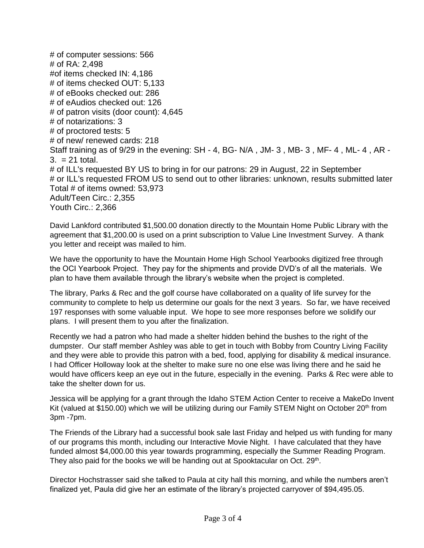# of computer sessions: 566 # of RA: 2,498 #of items checked IN: 4,186 # of items checked OUT: 5,133 # of eBooks checked out: 286 # of eAudios checked out: 126 # of patron visits (door count): 4,645 # of notarizations: 3 # of proctored tests: 5 # of new/ renewed cards: 218 Staff training as of 9/29 in the evening: SH - 4, BG- N/A , JM- 3 , MB- 3 , MF- 4 , ML- 4 , AR - 3. = 21 total. # of ILL's requested BY US to bring in for our patrons: 29 in August, 22 in September # or ILL's requested FROM US to send out to other libraries: unknown, results submitted later Total # of items owned: 53,973 Adult/Teen Circ.: 2,355 Youth Circ.: 2,366

David Lankford contributed \$1,500.00 donation directly to the Mountain Home Public Library with the agreement that \$1,200.00 is used on a print subscription to Value Line Investment Survey. A thank you letter and receipt was mailed to him.

We have the opportunity to have the Mountain Home High School Yearbooks digitized free through the OCI Yearbook Project. They pay for the shipments and provide DVD's of all the materials. We plan to have them available through the library's website when the project is completed.

The library, Parks & Rec and the golf course have collaborated on a quality of life survey for the community to complete to help us determine our goals for the next 3 years. So far, we have received 197 responses with some valuable input. We hope to see more responses before we solidify our plans. I will present them to you after the finalization.

Recently we had a patron who had made a shelter hidden behind the bushes to the right of the dumpster. Our staff member Ashley was able to get in touch with Bobby from Country Living Facility and they were able to provide this patron with a bed, food, applying for disability & medical insurance. I had Officer Holloway look at the shelter to make sure no one else was living there and he said he would have officers keep an eye out in the future, especially in the evening. Parks & Rec were able to take the shelter down for us.

Jessica will be applying for a grant through the Idaho STEM Action Center to receive a MakeDo Invent Kit (valued at \$150.00) which we will be utilizing during our Family STEM Night on October 20<sup>th</sup> from 3pm -7pm.

The Friends of the Library had a successful book sale last Friday and helped us with funding for many of our programs this month, including our Interactive Movie Night. I have calculated that they have funded almost \$4,000.00 this year towards programming, especially the Summer Reading Program. They also paid for the books we will be handing out at Spooktacular on Oct. 29<sup>th</sup>.

Director Hochstrasser said she talked to Paula at city hall this morning, and while the numbers aren't finalized yet, Paula did give her an estimate of the library's projected carryover of \$94,495.05.